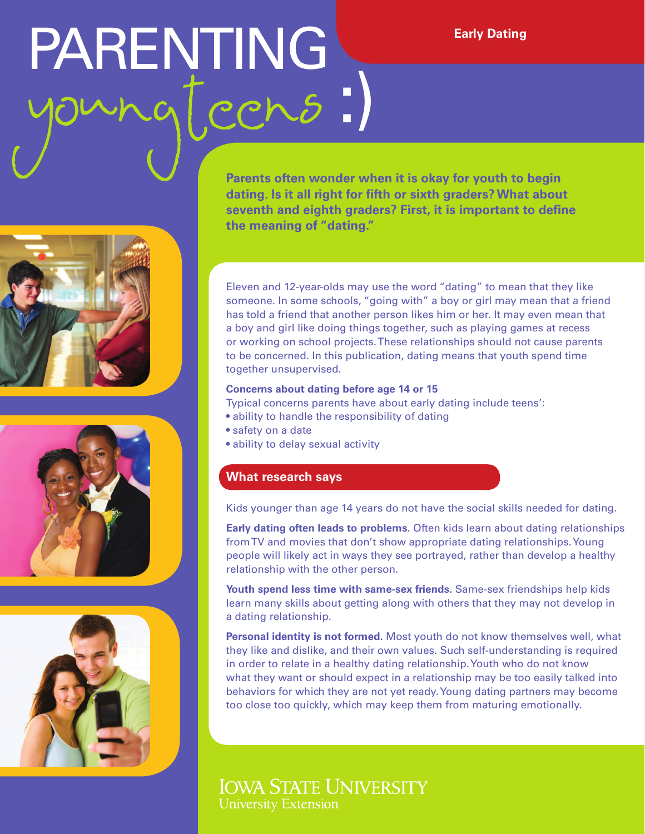# PARENTING young (cens :) PARENTING Early Dating







**Parents often wonder when it is okay for youth to begin dating. Is it all right for fifth or sixth graders? What about seventh and eighth graders? First, it is important to define the meaning of "dating."** 

Eleven and 12-year-olds may use the word "dating" to mean that they like someone. In some schools, "going with" a boy or girl may mean that a friend has told a friend that another person likes him or her. It may even mean that a boy and girl like doing things together, such as playing games at recess or working on school projects. These relationships should not cause parents to be concerned. In this publication, dating means that youth spend time together unsupervised.

#### **Concerns about dating before age 14 or 15**

Typical concerns parents have about early dating include teens':

- ability to handle the responsibility of dating
- safety on a date
- ability to delay sexual activity

### **What research says**

Kids younger than age 14 years do not have the social skills needed for dating.

**Early dating often leads to problems**. Often kids learn about dating relationships from TV and movies that don't show appropriate dating relationships. Young people will likely act in ways they see portrayed, rather than develop a healthy relationship with the other person.

**Youth spend less time with same-sex friends.** Same-sex friendships help kids learn many skills about getting along with others that they may not develop in a dating relationship.

**Personal identity is not formed.** Most youth do not know themselves well, what they like and dislike, and their own values. Such self-understanding is required in order to relate in a healthy dating relationship. Youth who do not know what they want or should expect in a relationship may be too easily talked into behaviors for which they are not yet ready. Young dating partners may become too close too quickly, which may keep them from maturing emotionally.

## **IOWA STATE UNIVERSITY University Extension**